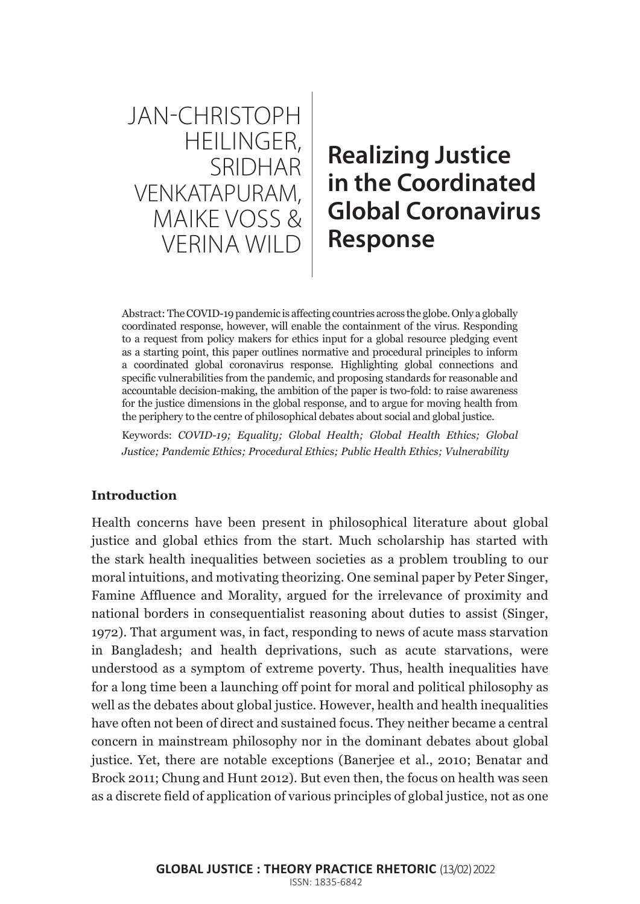JAN-CHRISTOPH HEILINGER, **SRIDHAR** VENKATAPURAM, MAIKE VOSS & VERINA WILD

# **Realizing Justice in the Coordinated Global Coronavirus Response**

Abstract: The COVID-19 pandemic is affecting countries across the globe. Only a globally coordinated response, however, will enable the containment of the virus. Responding to a request from policy makers for ethics input for a global resource pledging event as a starting point, this paper outlines normative and procedural principles to inform a coordinated global coronavirus response. Highlighting global connections and specific vulnerabilities from the pandemic, and proposing standards for reasonable and accountable decision-making, the ambition of the paper is two-fold: to raise awareness for the justice dimensions in the global response, and to argue for moving health from the periphery to the centre of philosophical debates about social and global justice.

Keywords: *COVID-19; Equality; Global Health; Global Health Ethics; Global Justice; Pandemic Ethics; Procedural Ethics; Public Health Ethics; Vulnerability*

## **Introduction**

Health concerns have been present in philosophical literature about global justice and global ethics from the start. Much scholarship has started with the stark health inequalities between societies as a problem troubling to our moral intuitions, and motivating theorizing. One seminal paper by Peter Singer, Famine Affluence and Morality, argued for the irrelevance of proximity and national borders in consequentialist reasoning about duties to assist (Singer, 1972). That argument was, in fact, responding to news of acute mass starvation in Bangladesh; and health deprivations, such as acute starvations, were understood as a symptom of extreme poverty. Thus, health inequalities have for a long time been a launching off point for moral and political philosophy as well as the debates about global justice. However, health and health inequalities have often not been of direct and sustained focus. They neither became a central concern in mainstream philosophy nor in the dominant debates about global justice. Yet, there are notable exceptions (Banerjee et al., 2010; Benatar and Brock 2011; Chung and Hunt 2012). But even then, the focus on health was seen as a discrete field of application of various principles of global justice, not as one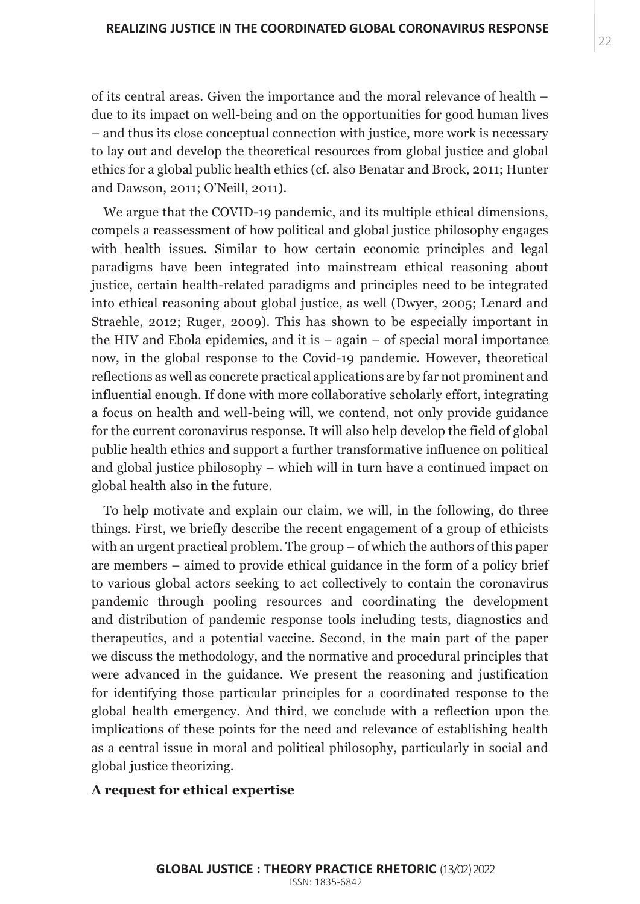of its central areas. Given the importance and the moral relevance of health – due to its impact on well-being and on the opportunities for good human lives – and thus its close conceptual connection with justice, more work is necessary to lay out and develop the theoretical resources from global justice and global ethics for a global public health ethics (cf. also Benatar and Brock, 2011; Hunter and Dawson, 2011; O'Neill, 2011).

We argue that the COVID-19 pandemic, and its multiple ethical dimensions, compels a reassessment of how political and global justice philosophy engages with health issues. Similar to how certain economic principles and legal paradigms have been integrated into mainstream ethical reasoning about justice, certain health-related paradigms and principles need to be integrated into ethical reasoning about global justice, as well (Dwyer, 2005; Lenard and Straehle, 2012; Ruger, 2009). This has shown to be especially important in the HIV and Ebola epidemics, and it is – again – of special moral importance now, in the global response to the Covid-19 pandemic. However, theoretical reflections as well as concrete practical applications are by far not prominent and influential enough. If done with more collaborative scholarly effort, integrating a focus on health and well-being will, we contend, not only provide guidance for the current coronavirus response. It will also help develop the field of global public health ethics and support a further transformative influence on political and global justice philosophy – which will in turn have a continued impact on global health also in the future.

To help motivate and explain our claim, we will, in the following, do three things. First, we briefly describe the recent engagement of a group of ethicists with an urgent practical problem. The group – of which the authors of this paper are members – aimed to provide ethical guidance in the form of a policy brief to various global actors seeking to act collectively to contain the coronavirus pandemic through pooling resources and coordinating the development and distribution of pandemic response tools including tests, diagnostics and therapeutics, and a potential vaccine. Second, in the main part of the paper we discuss the methodology, and the normative and procedural principles that were advanced in the guidance. We present the reasoning and justification for identifying those particular principles for a coordinated response to the global health emergency. And third, we conclude with a reflection upon the implications of these points for the need and relevance of establishing health as a central issue in moral and political philosophy, particularly in social and global justice theorizing.

#### **A request for ethical expertise**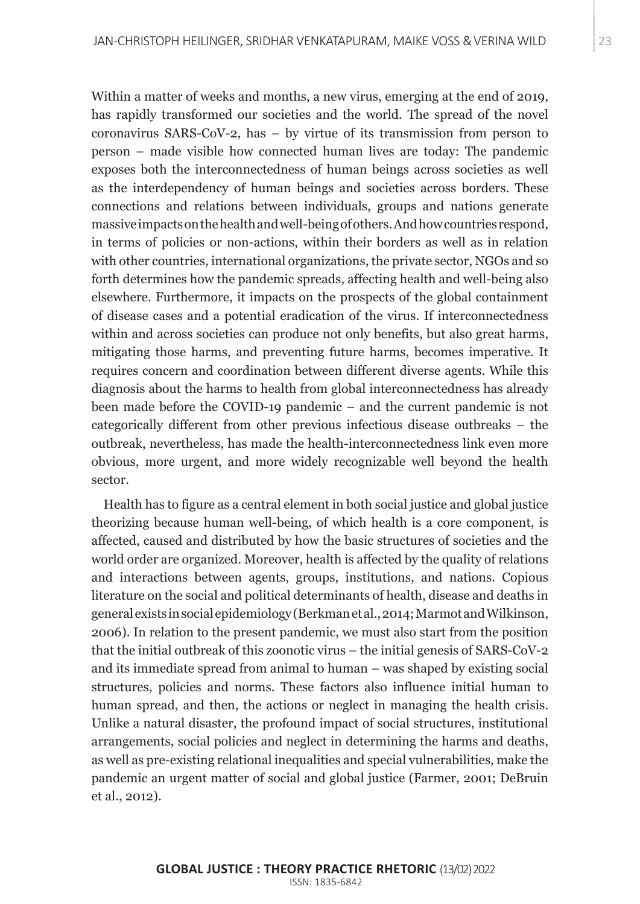Within a matter of weeks and months, a new virus, emerging at the end of 2019, has rapidly transformed our societies and the world. The spread of the novel coronavirus SARS-CoV-2, has – by virtue of its transmission from person to person – made visible how connected human lives are today: The pandemic exposes both the interconnectedness of human beings across societies as well as the interdependency of human beings and societies across borders. These connections and relations between individuals, groups and nations generate massive impacts on the health and well-being of others. And how countries respond, in terms of policies or non-actions, within their borders as well as in relation with other countries, international organizations, the private sector, NGOs and so forth determines how the pandemic spreads, affecting health and well-being also elsewhere. Furthermore, it impacts on the prospects of the global containment of disease cases and a potential eradication of the virus. If interconnectedness within and across societies can produce not only benefits, but also great harms, mitigating those harms, and preventing future harms, becomes imperative. It requires concern and coordination between different diverse agents. While this diagnosis about the harms to health from global interconnectedness has already been made before the COVID-19 pandemic – and the current pandemic is not categorically different from other previous infectious disease outbreaks – the outbreak, nevertheless, has made the health-interconnectedness link even more obvious, more urgent, and more widely recognizable well beyond the health sector.

Health has to figure as a central element in both social justice and global justice theorizing because human well-being, of which health is a core component, is affected, caused and distributed by how the basic structures of societies and the world order are organized. Moreover, health is affected by the quality of relations and interactions between agents, groups, institutions, and nations. Copious literature on the social and political determinants of health, disease and deaths in general exists in social epidemiology (Berkman et al., 2014; Marmot and Wilkinson, 2006). In relation to the present pandemic, we must also start from the position that the initial outbreak of this zoonotic virus – the initial genesis of SARS-CoV-2 and its immediate spread from animal to human – was shaped by existing social structures, policies and norms. These factors also influence initial human to human spread, and then, the actions or neglect in managing the health crisis. Unlike a natural disaster, the profound impact of social structures, institutional arrangements, social policies and neglect in determining the harms and deaths, as well as pre-existing relational inequalities and special vulnerabilities, make the pandemic an urgent matter of social and global justice (Farmer, 2001; DeBruin et al., 2012).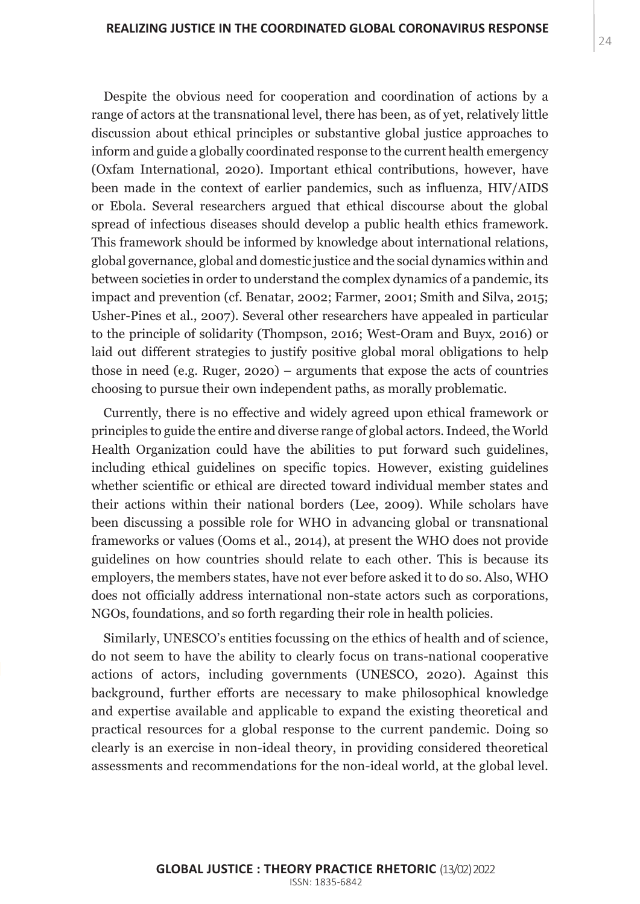Despite the obvious need for cooperation and coordination of actions by a range of actors at the transnational level, there has been, as of yet, relatively little discussion about ethical principles or substantive global justice approaches to inform and guide a globally coordinated response to the current health emergency (Oxfam International, 2020). Important ethical contributions, however, have been made in the context of earlier pandemics, such as influenza, HIV/AIDS or Ebola. Several researchers argued that ethical discourse about the global spread of infectious diseases should develop a public health ethics framework. This framework should be informed by knowledge about international relations, global governance, global and domestic justice and the social dynamics within and between societies in order to understand the complex dynamics of a pandemic, its impact and prevention (cf. Benatar, 2002; Farmer, 2001; Smith and Silva, 2015; Usher-Pines et al., 2007). Several other researchers have appealed in particular to the principle of solidarity (Thompson, 2016; West-Oram and Buyx, 2016) or laid out different strategies to justify positive global moral obligations to help those in need (e.g. Ruger, 2020) – arguments that expose the acts of countries choosing to pursue their own independent paths, as morally problematic.

Currently, there is no effective and widely agreed upon ethical framework or principles to guide the entire and diverse range of global actors. Indeed, the World Health Organization could have the abilities to put forward such guidelines, including ethical guidelines on specific topics. However, existing guidelines whether scientific or ethical are directed toward individual member states and their actions within their national borders (Lee, 2009). While scholars have been discussing a possible role for WHO in advancing global or transnational frameworks or values (Ooms et al., 2014), at present the WHO does not provide guidelines on how countries should relate to each other. This is because its employers, the members states, have not ever before asked it to do so. Also, WHO does not officially address international non-state actors such as corporations, NGOs, foundations, and so forth regarding their role in health policies.

Similarly, UNESCO's entities focussing on the ethics of health and of science, do not seem to have the ability to clearly focus on trans-national cooperative actions of actors, including governments (UNESCO, 2020). Against this background, further efforts are necessary to make philosophical knowledge and expertise available and applicable to expand the existing theoretical and practical resources for a global response to the current pandemic. Doing so clearly is an exercise in non-ideal theory, in providing considered theoretical assessments and recommendations for the non-ideal world, at the global level.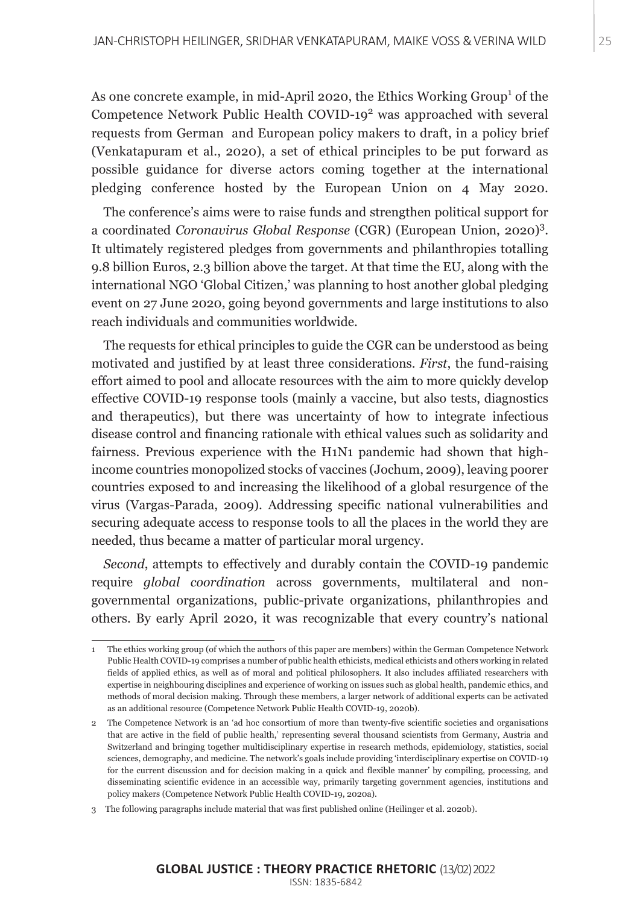As one concrete example, in mid-April 2020, the Ethics Working Group<sup>1</sup> of the Competence Network Public Health COVID-19<sup>2</sup> was approached with several requests from German and European policy makers to draft, in a policy brief (Venkatapuram et al., 2020), a set of ethical principles to be put forward as possible guidance for diverse actors coming together at the international pledging conference hosted by the European Union on 4 May 2020.

The conference's aims were to raise funds and strengthen political support for a coordinated *Coronavirus Global Response* (CGR) (European Union, 2020)3 . It ultimately registered pledges from governments and philanthropies totalling 9.8 billion Euros, 2.3 billion above the target. At that time the EU, along with the international NGO 'Global Citizen,' was planning to host another global pledging event on 27 June 2020, going beyond governments and large institutions to also reach individuals and communities worldwide.

The requests for ethical principles to guide the CGR can be understood as being motivated and justified by at least three considerations. *First*, the fund-raising effort aimed to pool and allocate resources with the aim to more quickly develop effective COVID-19 response tools (mainly a vaccine, but also tests, diagnostics and therapeutics), but there was uncertainty of how to integrate infectious disease control and financing rationale with ethical values such as solidarity and fairness. Previous experience with the H1N1 pandemic had shown that highincome countries monopolized stocks of vaccines (Jochum, 2009), leaving poorer countries exposed to and increasing the likelihood of a global resurgence of the virus (Vargas-Parada, 2009). Addressing specific national vulnerabilities and securing adequate access to response tools to all the places in the world they are needed, thus became a matter of particular moral urgency.

*Second*, attempts to effectively and durably contain the COVID-19 pandemic require *global coordination* across governments, multilateral and nongovernmental organizations, public-private organizations, philanthropies and others. By early April 2020, it was recognizable that every country's national

<sup>1</sup> The ethics working group (of which the authors of this paper are members) within the German Competence Network Public Health COVID-19 comprises a number of public health ethicists, medical ethicists and others working in related fields of applied ethics, as well as of moral and political philosophers. It also includes affiliated researchers with expertise in neighbouring disciplines and experience of working on issues such as global health, pandemic ethics, and methods of moral decision making. Through these members, a larger network of additional experts can be activated as an additional resource (Competence Network Public Health COVID-19, 2020b).

<sup>2</sup> The Competence Network is an 'ad hoc consortium of more than twenty-five scientific societies and organisations that are active in the field of public health,' representing several thousand scientists from Germany, Austria and Switzerland and bringing together multidisciplinary expertise in research methods, epidemiology, statistics, social sciences, demography, and medicine. The network's goals include providing 'interdisciplinary expertise on COVID-19 for the current discussion and for decision making in a quick and flexible manner' by compiling, processing, and disseminating scientific evidence in an accessible way, primarily targeting government agencies, institutions and policy makers (Competence Network Public Health COVID-19, 2020a).

<sup>3</sup> The following paragraphs include material that was first published online (Heilinger et al. 2020b).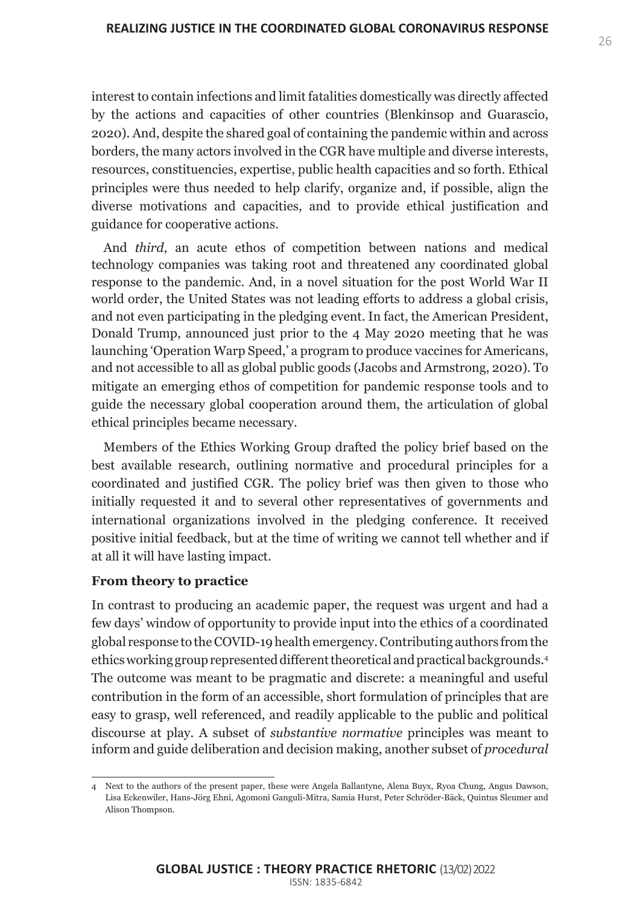interest to contain infections and limit fatalities domestically was directly affected by the actions and capacities of other countries (Blenkinsop and Guarascio, 2020). And, despite the shared goal of containing the pandemic within and across borders, the many actors involved in the CGR have multiple and diverse interests, resources, constituencies, expertise, public health capacities and so forth. Ethical principles were thus needed to help clarify, organize and, if possible, align the diverse motivations and capacities, and to provide ethical justification and guidance for cooperative actions.

And *third*, an acute ethos of competition between nations and medical technology companies was taking root and threatened any coordinated global response to the pandemic. And, in a novel situation for the post World War II world order, the United States was not leading efforts to address a global crisis, and not even participating in the pledging event. In fact, the American President, Donald Trump, announced just prior to the 4 May 2020 meeting that he was launching 'Operation Warp Speed,' a program to produce vaccines for Americans, and not accessible to all as global public goods (Jacobs and Armstrong, 2020). To mitigate an emerging ethos of competition for pandemic response tools and to guide the necessary global cooperation around them, the articulation of global ethical principles became necessary.

Members of the Ethics Working Group drafted the policy brief based on the best available research, outlining normative and procedural principles for a coordinated and justified CGR. The policy brief was then given to those who initially requested it and to several other representatives of governments and international organizations involved in the pledging conference. It received positive initial feedback, but at the time of writing we cannot tell whether and if at all it will have lasting impact.

#### **From theory to practice**

In contrast to producing an academic paper, the request was urgent and had a few days' window of opportunity to provide input into the ethics of a coordinated global response to the COVID-19 health emergency. Contributing authors from the ethics working group represented different theoretical and practical backgrounds.4 The outcome was meant to be pragmatic and discrete: a meaningful and useful contribution in the form of an accessible, short formulation of principles that are easy to grasp, well referenced, and readily applicable to the public and political discourse at play. A subset of *substantive normative* principles was meant to inform and guide deliberation and decision making, another subset of *procedural*

<sup>4</sup> Next to the authors of the present paper, these were Angela Ballantyne, Alena Buyx, Ryoa Chung, Angus Dawson, Lisa Eckenwiler, Hans-Jörg Ehni, Agomoni Ganguli-Mitra, Samia Hurst, Peter Schröder-Bäck, Quintus Sleumer and Alison Thompson.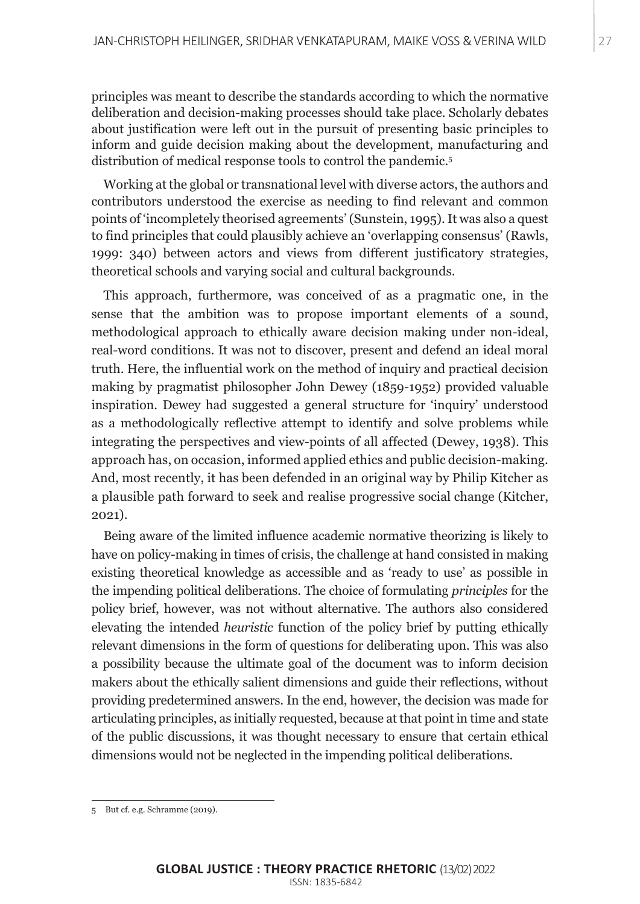principles was meant to describe the standards according to which the normative deliberation and decision-making processes should take place. Scholarly debates about justification were left out in the pursuit of presenting basic principles to inform and guide decision making about the development, manufacturing and distribution of medical response tools to control the pandemic.<sup>5</sup>

Working at the global or transnational level with diverse actors, the authors and contributors understood the exercise as needing to find relevant and common points of 'incompletely theorised agreements' (Sunstein, 1995). It was also a quest to find principles that could plausibly achieve an 'overlapping consensus' (Rawls, 1999: 340) between actors and views from different justificatory strategies, theoretical schools and varying social and cultural backgrounds.

This approach, furthermore, was conceived of as a pragmatic one, in the sense that the ambition was to propose important elements of a sound, methodological approach to ethically aware decision making under non-ideal, real-word conditions. It was not to discover, present and defend an ideal moral truth. Here, the influential work on the method of inquiry and practical decision making by pragmatist philosopher John Dewey (1859-1952) provided valuable inspiration. Dewey had suggested a general structure for 'inquiry' understood as a methodologically reflective attempt to identify and solve problems while integrating the perspectives and view-points of all affected (Dewey, 1938). This approach has, on occasion, informed applied ethics and public decision-making. And, most recently, it has been defended in an original way by Philip Kitcher as a plausible path forward to seek and realise progressive social change (Kitcher, 2021).

Being aware of the limited influence academic normative theorizing is likely to have on policy-making in times of crisis, the challenge at hand consisted in making existing theoretical knowledge as accessible and as 'ready to use' as possible in the impending political deliberations. The choice of formulating *principles* for the policy brief, however, was not without alternative. The authors also considered elevating the intended *heuristic* function of the policy brief by putting ethically relevant dimensions in the form of questions for deliberating upon. This was also a possibility because the ultimate goal of the document was to inform decision makers about the ethically salient dimensions and guide their reflections, without providing predetermined answers. In the end, however, the decision was made for articulating principles, as initially requested, because at that point in time and state of the public discussions, it was thought necessary to ensure that certain ethical dimensions would not be neglected in the impending political deliberations.

But cf. e.g. Schramme (2019).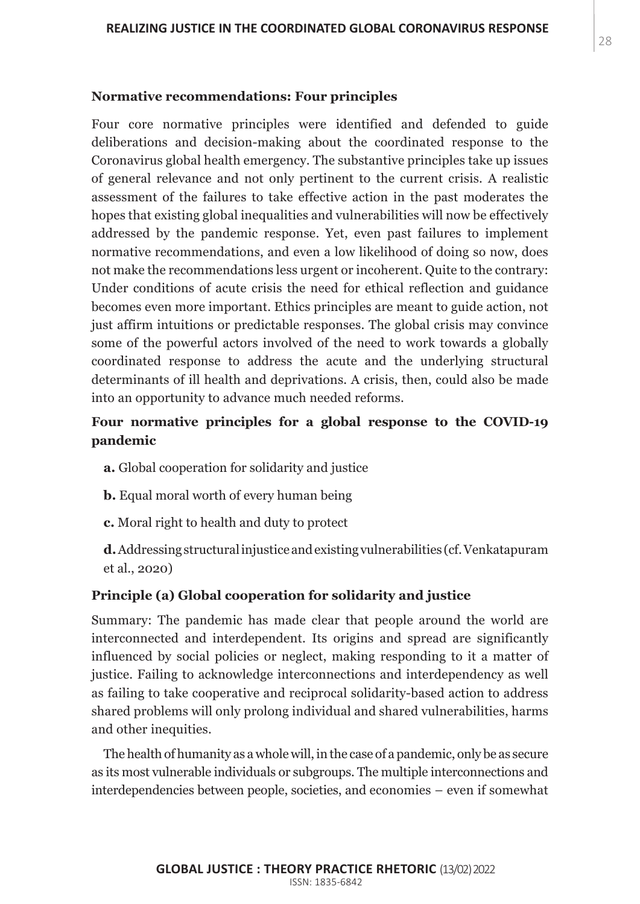#### **Normative recommendations: Four principles**

Four core normative principles were identified and defended to guide deliberations and decision-making about the coordinated response to the Coronavirus global health emergency. The substantive principles take up issues of general relevance and not only pertinent to the current crisis. A realistic assessment of the failures to take effective action in the past moderates the hopes that existing global inequalities and vulnerabilities will now be effectively addressed by the pandemic response. Yet, even past failures to implement normative recommendations, and even a low likelihood of doing so now, does not make the recommendations less urgent or incoherent. Quite to the contrary: Under conditions of acute crisis the need for ethical reflection and guidance becomes even more important. Ethics principles are meant to guide action, not just affirm intuitions or predictable responses. The global crisis may convince some of the powerful actors involved of the need to work towards a globally coordinated response to address the acute and the underlying structural determinants of ill health and deprivations. A crisis, then, could also be made into an opportunity to advance much needed reforms.

# **Four normative principles for a global response to the COVID-19 pandemic**

- **a.** Global cooperation for solidarity and justice
- **b.** Equal moral worth of every human being
- **c.** Moral right to health and duty to protect

**d.** Addressing structural injustice and existing vulnerabilities (cf. Venkatapuram et al., 2020)

## **Principle (a) Global cooperation for solidarity and justice**

Summary: The pandemic has made clear that people around the world are interconnected and interdependent. Its origins and spread are significantly influenced by social policies or neglect, making responding to it a matter of justice. Failing to acknowledge interconnections and interdependency as well as failing to take cooperative and reciprocal solidarity-based action to address shared problems will only prolong individual and shared vulnerabilities, harms and other inequities.

The health of humanity as a whole will, in the case of a pandemic, only be as secure as its most vulnerable individuals or subgroups. The multiple interconnections and interdependencies between people, societies, and economies – even if somewhat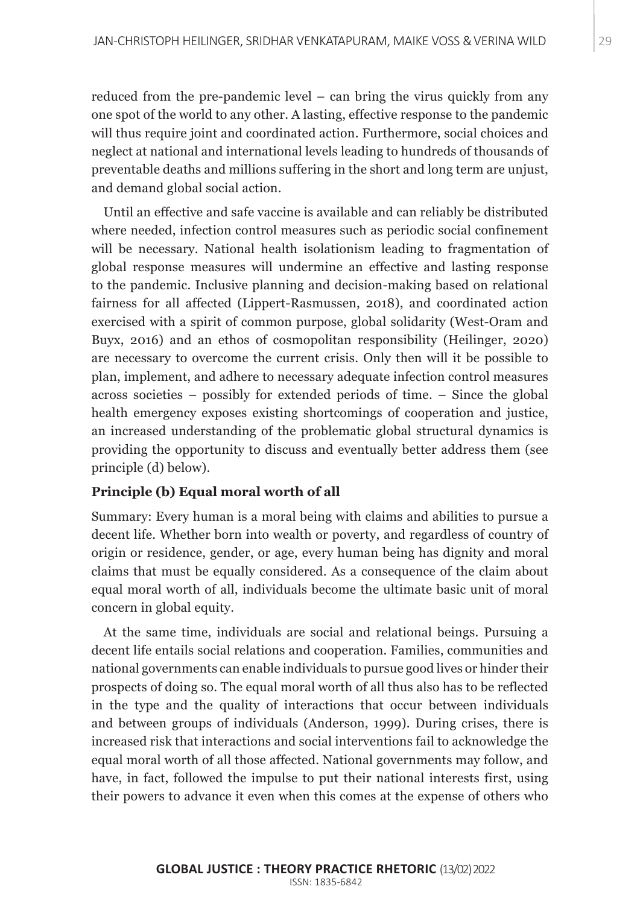reduced from the pre-pandemic level – can bring the virus quickly from any one spot of the world to any other. A lasting, effective response to the pandemic will thus require joint and coordinated action. Furthermore, social choices and neglect at national and international levels leading to hundreds of thousands of preventable deaths and millions suffering in the short and long term are unjust, and demand global social action.

Until an effective and safe vaccine is available and can reliably be distributed where needed, infection control measures such as periodic social confinement will be necessary. National health isolationism leading to fragmentation of global response measures will undermine an effective and lasting response to the pandemic. Inclusive planning and decision-making based on relational fairness for all affected (Lippert-Rasmussen, 2018), and coordinated action exercised with a spirit of common purpose, global solidarity (West-Oram and Buyx, 2016) and an ethos of cosmopolitan responsibility (Heilinger, 2020) are necessary to overcome the current crisis. Only then will it be possible to plan, implement, and adhere to necessary adequate infection control measures across societies – possibly for extended periods of time. – Since the global health emergency exposes existing shortcomings of cooperation and justice, an increased understanding of the problematic global structural dynamics is providing the opportunity to discuss and eventually better address them (see principle (d) below).

## **Principle (b) Equal moral worth of all**

Summary: Every human is a moral being with claims and abilities to pursue a decent life. Whether born into wealth or poverty, and regardless of country of origin or residence, gender, or age, every human being has dignity and moral claims that must be equally considered. As a consequence of the claim about equal moral worth of all, individuals become the ultimate basic unit of moral concern in global equity.

At the same time, individuals are social and relational beings. Pursuing a decent life entails social relations and cooperation. Families, communities and national governments can enable individuals to pursue good lives or hinder their prospects of doing so. The equal moral worth of all thus also has to be reflected in the type and the quality of interactions that occur between individuals and between groups of individuals (Anderson, 1999). During crises, there is increased risk that interactions and social interventions fail to acknowledge the equal moral worth of all those affected. National governments may follow, and have, in fact, followed the impulse to put their national interests first, using their powers to advance it even when this comes at the expense of others who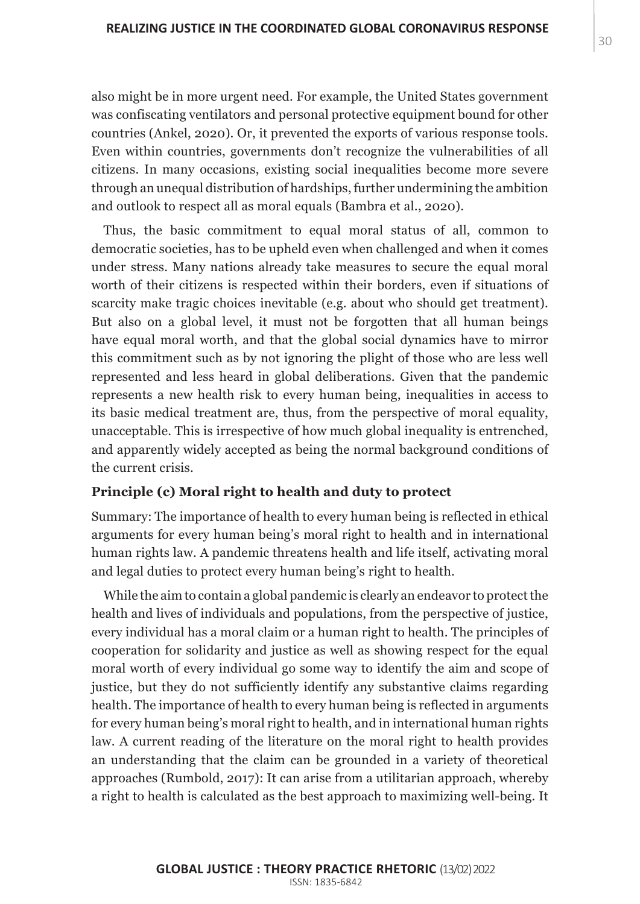also might be in more urgent need. For example, the United States government was confiscating ventilators and personal protective equipment bound for other countries (Ankel, 2020). Or, it prevented the exports of various response tools. Even within countries, governments don't recognize the vulnerabilities of all citizens. In many occasions, existing social inequalities become more severe through an unequal distribution of hardships, further undermining the ambition and outlook to respect all as moral equals (Bambra et al., 2020).

Thus, the basic commitment to equal moral status of all, common to democratic societies, has to be upheld even when challenged and when it comes under stress. Many nations already take measures to secure the equal moral worth of their citizens is respected within their borders, even if situations of scarcity make tragic choices inevitable (e.g. about who should get treatment). But also on a global level, it must not be forgotten that all human beings have equal moral worth, and that the global social dynamics have to mirror this commitment such as by not ignoring the plight of those who are less well represented and less heard in global deliberations. Given that the pandemic represents a new health risk to every human being, inequalities in access to its basic medical treatment are, thus, from the perspective of moral equality, unacceptable. This is irrespective of how much global inequality is entrenched, and apparently widely accepted as being the normal background conditions of the current crisis.

#### **Principle (c) Moral right to health and duty to protect**

Summary: The importance of health to every human being is reflected in ethical arguments for every human being's moral right to health and in international human rights law. A pandemic threatens health and life itself, activating moral and legal duties to protect every human being's right to health.

While the aim to contain a global pandemic is clearly an endeavor to protect the health and lives of individuals and populations, from the perspective of justice, every individual has a moral claim or a human right to health. The principles of cooperation for solidarity and justice as well as showing respect for the equal moral worth of every individual go some way to identify the aim and scope of justice, but they do not sufficiently identify any substantive claims regarding health. The importance of health to every human being is reflected in arguments for every human being's moral right to health, and in international human rights law. A current reading of the literature on the moral right to health provides an understanding that the claim can be grounded in a variety of theoretical approaches (Rumbold, 2017): It can arise from a utilitarian approach, whereby a right to health is calculated as the best approach to maximizing well-being. It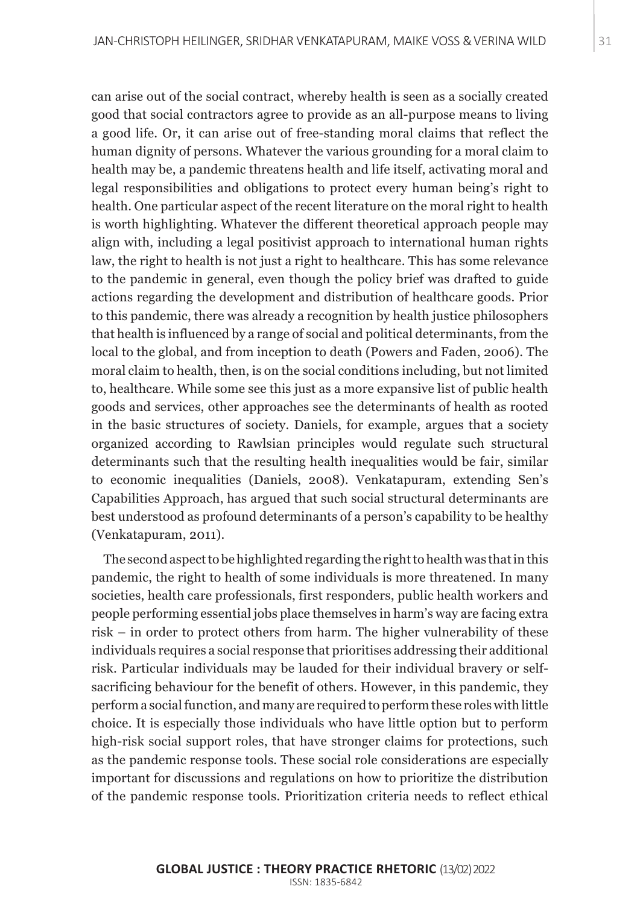can arise out of the social contract, whereby health is seen as a socially created good that social contractors agree to provide as an all-purpose means to living a good life. Or, it can arise out of free-standing moral claims that reflect the human dignity of persons. Whatever the various grounding for a moral claim to health may be, a pandemic threatens health and life itself, activating moral and legal responsibilities and obligations to protect every human being's right to health. One particular aspect of the recent literature on the moral right to health is worth highlighting. Whatever the different theoretical approach people may align with, including a legal positivist approach to international human rights law, the right to health is not just a right to healthcare. This has some relevance to the pandemic in general, even though the policy brief was drafted to guide actions regarding the development and distribution of healthcare goods. Prior to this pandemic, there was already a recognition by health justice philosophers that health is influenced by a range of social and political determinants, from the local to the global, and from inception to death (Powers and Faden, 2006). The moral claim to health, then, is on the social conditions including, but not limited to, healthcare. While some see this just as a more expansive list of public health goods and services, other approaches see the determinants of health as rooted in the basic structures of society. Daniels, for example, argues that a society organized according to Rawlsian principles would regulate such structural determinants such that the resulting health inequalities would be fair, similar to economic inequalities (Daniels, 2008). Venkatapuram, extending Sen's Capabilities Approach, has argued that such social structural determinants are best understood as profound determinants of a person's capability to be healthy (Venkatapuram, 2011).

The second aspect to be highlighted regarding the right to health was that in this pandemic, the right to health of some individuals is more threatened. In many societies, health care professionals, first responders, public health workers and people performing essential jobs place themselves in harm's way are facing extra risk – in order to protect others from harm. The higher vulnerability of these individuals requires a social response that prioritises addressing their additional risk. Particular individuals may be lauded for their individual bravery or selfsacrificing behaviour for the benefit of others. However, in this pandemic, they perform a social function, and many are required to perform these roles with little choice. It is especially those individuals who have little option but to perform high-risk social support roles, that have stronger claims for protections, such as the pandemic response tools. These social role considerations are especially important for discussions and regulations on how to prioritize the distribution of the pandemic response tools. Prioritization criteria needs to reflect ethical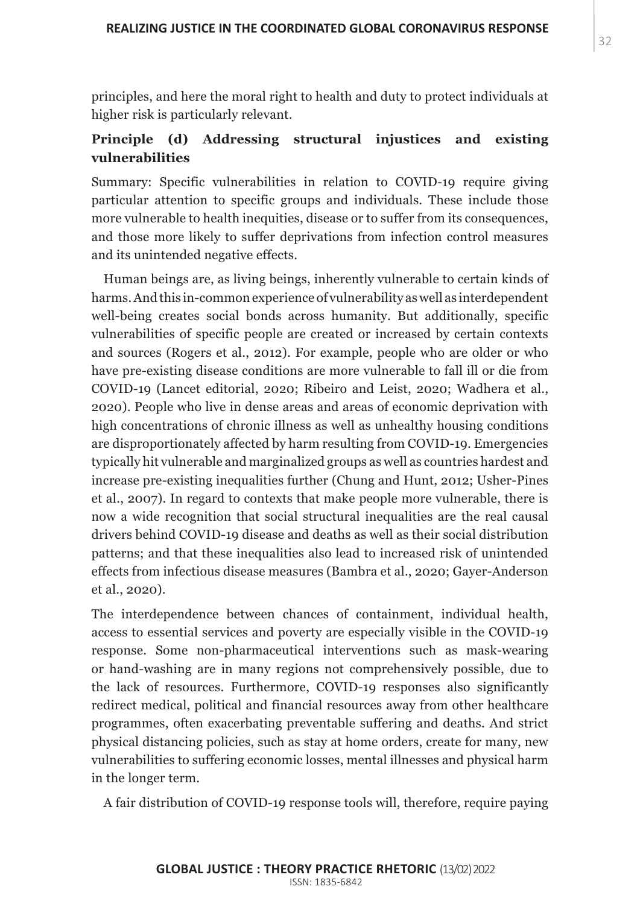principles, and here the moral right to health and duty to protect individuals at higher risk is particularly relevant.

# **Principle (d) Addressing structural injustices and existing vulnerabilities**

Summary: Specific vulnerabilities in relation to COVID-19 require giving particular attention to specific groups and individuals. These include those more vulnerable to health inequities, disease or to suffer from its consequences, and those more likely to suffer deprivations from infection control measures and its unintended negative effects.

Human beings are, as living beings, inherently vulnerable to certain kinds of harms. And this in-common experience of vulnerability as well as interdependent well-being creates social bonds across humanity. But additionally, specific vulnerabilities of specific people are created or increased by certain contexts and sources (Rogers et al., 2012). For example, people who are older or who have pre-existing disease conditions are more vulnerable to fall ill or die from COVID-19 (Lancet editorial, 2020; Ribeiro and Leist, 2020; Wadhera et al., 2020). People who live in dense areas and areas of economic deprivation with high concentrations of chronic illness as well as unhealthy housing conditions are disproportionately affected by harm resulting from COVID-19. Emergencies typically hit vulnerable and marginalized groups as well as countries hardest and increase pre-existing inequalities further (Chung and Hunt, 2012; Usher-Pines et al., 2007). In regard to contexts that make people more vulnerable, there is now a wide recognition that social structural inequalities are the real causal drivers behind COVID-19 disease and deaths as well as their social distribution patterns; and that these inequalities also lead to increased risk of unintended effects from infectious disease measures (Bambra et al., 2020; Gayer-Anderson et al., 2020).

The interdependence between chances of containment, individual health, access to essential services and poverty are especially visible in the COVID-19 response. Some non-pharmaceutical interventions such as mask-wearing or hand-washing are in many regions not comprehensively possible, due to the lack of resources. Furthermore, COVID-19 responses also significantly redirect medical, political and financial resources away from other healthcare programmes, often exacerbating preventable suffering and deaths. And strict physical distancing policies, such as stay at home orders, create for many, new vulnerabilities to suffering economic losses, mental illnesses and physical harm in the longer term.

A fair distribution of COVID-19 response tools will, therefore, require paying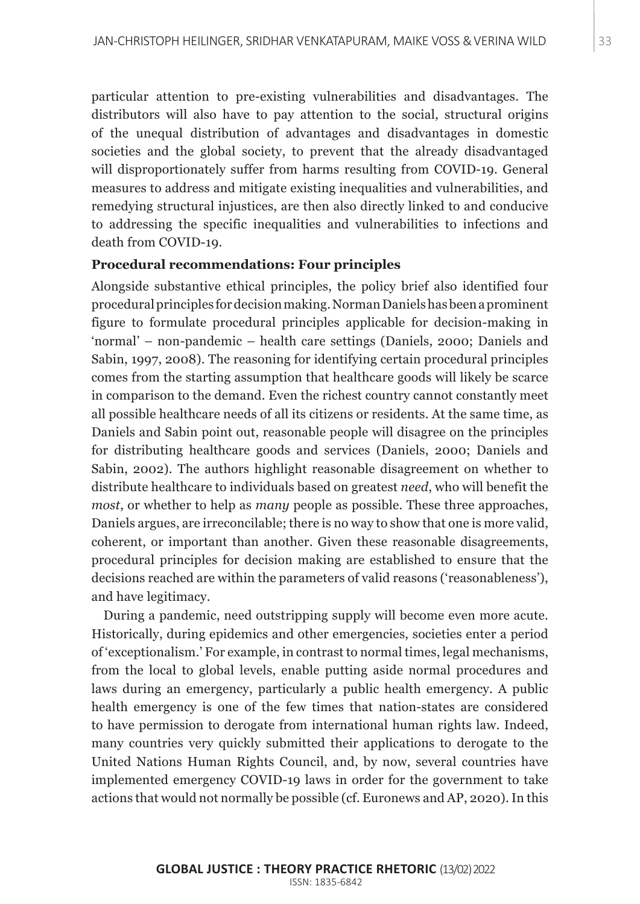particular attention to pre-existing vulnerabilities and disadvantages. The distributors will also have to pay attention to the social, structural origins of the unequal distribution of advantages and disadvantages in domestic societies and the global society, to prevent that the already disadvantaged will disproportionately suffer from harms resulting from COVID-19. General measures to address and mitigate existing inequalities and vulnerabilities, and remedying structural injustices, are then also directly linked to and conducive to addressing the specific inequalities and vulnerabilities to infections and death from COVID-19.

### **Procedural recommendations: Four principles**

Alongside substantive ethical principles, the policy brief also identified four procedural principles for decision making. Norman Daniels has been a prominent figure to formulate procedural principles applicable for decision-making in 'normal' – non-pandemic – health care settings (Daniels, 2000; Daniels and Sabin, 1997, 2008). The reasoning for identifying certain procedural principles comes from the starting assumption that healthcare goods will likely be scarce in comparison to the demand. Even the richest country cannot constantly meet all possible healthcare needs of all its citizens or residents. At the same time, as Daniels and Sabin point out, reasonable people will disagree on the principles for distributing healthcare goods and services (Daniels, 2000; Daniels and Sabin, 2002). The authors highlight reasonable disagreement on whether to distribute healthcare to individuals based on greatest *need*, who will benefit the *most*, or whether to help as *many* people as possible. These three approaches, Daniels argues, are irreconcilable; there is no way to show that one is more valid, coherent, or important than another. Given these reasonable disagreements, procedural principles for decision making are established to ensure that the decisions reached are within the parameters of valid reasons ('reasonableness'), and have legitimacy.

During a pandemic, need outstripping supply will become even more acute. Historically, during epidemics and other emergencies, societies enter a period of 'exceptionalism.' For example, in contrast to normal times, legal mechanisms, from the local to global levels, enable putting aside normal procedures and laws during an emergency, particularly a public health emergency. A public health emergency is one of the few times that nation-states are considered to have permission to derogate from international human rights law. Indeed, many countries very quickly submitted their applications to derogate to the United Nations Human Rights Council, and, by now, several countries have implemented emergency COVID-19 laws in order for the government to take actions that would not normally be possible (cf. Euronews and AP, 2020). In this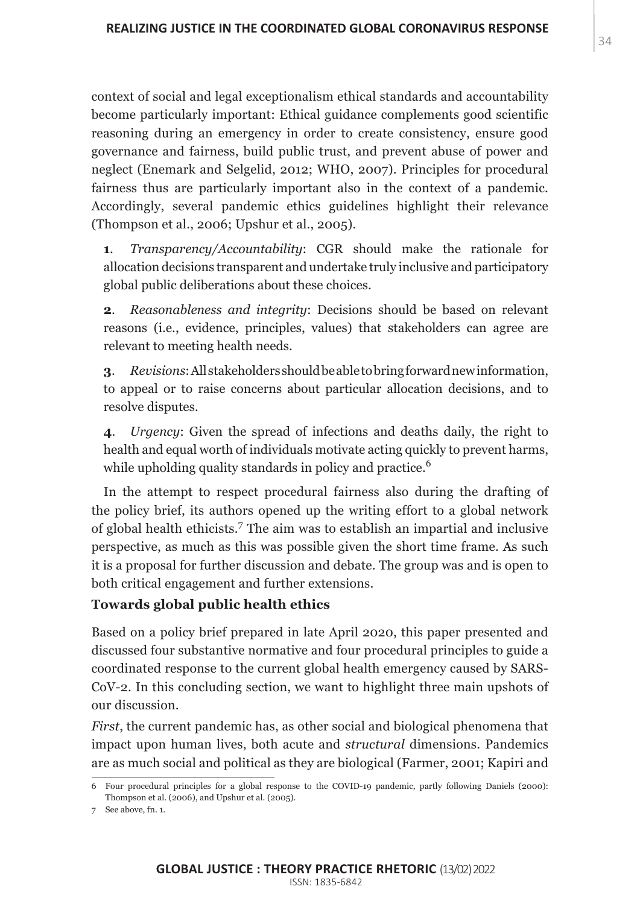context of social and legal exceptionalism ethical standards and accountability become particularly important: Ethical guidance complements good scientific reasoning during an emergency in order to create consistency, ensure good governance and fairness, build public trust, and prevent abuse of power and neglect (Enemark and Selgelid, 2012; WHO, 2007). Principles for procedural fairness thus are particularly important also in the context of a pandemic. Accordingly, several pandemic ethics guidelines highlight their relevance (Thompson et al., 2006; Upshur et al., 2005).

**1**. *Transparency/Accountability*: CGR should make the rationale for allocation decisions transparent and undertake truly inclusive and participatory global public deliberations about these choices.

**2**. *Reasonableness and integrity*: Decisions should be based on relevant reasons (i.e., evidence, principles, values) that stakeholders can agree are relevant to meeting health needs.

**3**. *Revisions*: All stakeholders should be able to bring forward new information, to appeal or to raise concerns about particular allocation decisions, and to resolve disputes.

**4**. *Urgency*: Given the spread of infections and deaths daily, the right to health and equal worth of individuals motivate acting quickly to prevent harms, while upholding quality standards in policy and practice.<sup>6</sup>

In the attempt to respect procedural fairness also during the drafting of the policy brief, its authors opened up the writing effort to a global network of global health ethicists.<sup>7</sup> The aim was to establish an impartial and inclusive perspective, as much as this was possible given the short time frame. As such it is a proposal for further discussion and debate. The group was and is open to both critical engagement and further extensions.

## **Towards global public health ethics**

Based on a policy brief prepared in late April 2020, this paper presented and discussed four substantive normative and four procedural principles to guide a coordinated response to the current global health emergency caused by SARS-CoV-2. In this concluding section, we want to highlight three main upshots of our discussion.

*First*, the current pandemic has, as other social and biological phenomena that impact upon human lives, both acute and *structural* dimensions. Pandemics are as much social and political as they are biological (Farmer, 2001; Kapiri and

<sup>6</sup> Four procedural principles for a global response to the COVID-19 pandemic, partly following Daniels (2000): Thompson et al. (2006), and Upshur et al. (2005).

<sup>7</sup> See above, fn. 1.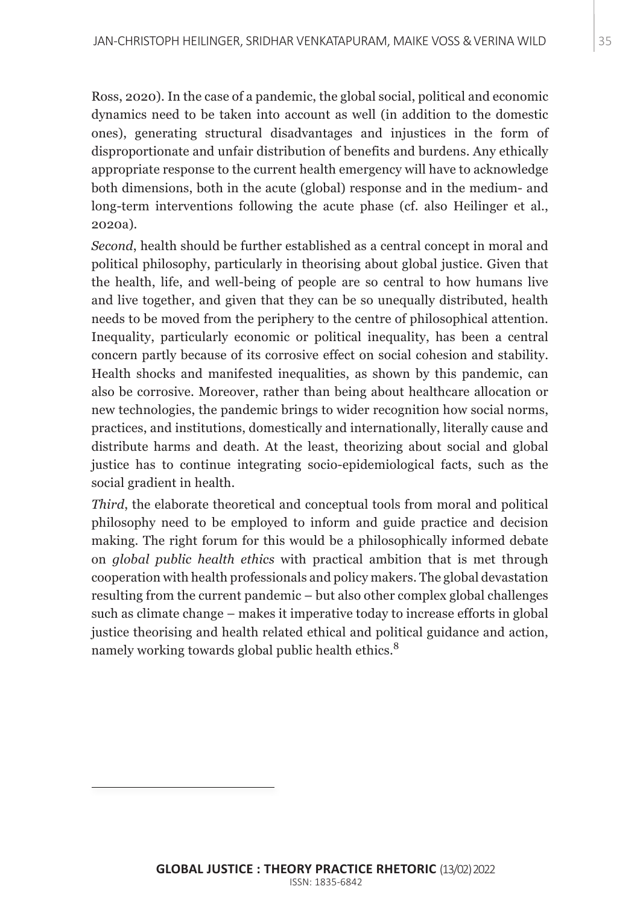Ross, 2020). In the case of a pandemic, the global social, political and economic dynamics need to be taken into account as well (in addition to the domestic ones), generating structural disadvantages and injustices in the form of disproportionate and unfair distribution of benefits and burdens. Any ethically appropriate response to the current health emergency will have to acknowledge both dimensions, both in the acute (global) response and in the medium- and long-term interventions following the acute phase (cf. also Heilinger et al., 2020a).

*Second*, health should be further established as a central concept in moral and political philosophy, particularly in theorising about global justice. Given that the health, life, and well-being of people are so central to how humans live and live together, and given that they can be so unequally distributed, health needs to be moved from the periphery to the centre of philosophical attention. Inequality, particularly economic or political inequality, has been a central concern partly because of its corrosive effect on social cohesion and stability. Health shocks and manifested inequalities, as shown by this pandemic, can also be corrosive. Moreover, rather than being about healthcare allocation or new technologies, the pandemic brings to wider recognition how social norms, practices, and institutions, domestically and internationally, literally cause and distribute harms and death. At the least, theorizing about social and global justice has to continue integrating socio-epidemiological facts, such as the social gradient in health.

*Third*, the elaborate theoretical and conceptual tools from moral and political philosophy need to be employed to inform and guide practice and decision making. The right forum for this would be a philosophically informed debate on *global public health ethics* with practical ambition that is met through cooperation with health professionals and policy makers. The global devastation resulting from the current pandemic – but also other complex global challenges such as climate change – makes it imperative today to increase efforts in global justice theorising and health related ethical and political guidance and action, namely working towards global public health ethics.<sup>8</sup>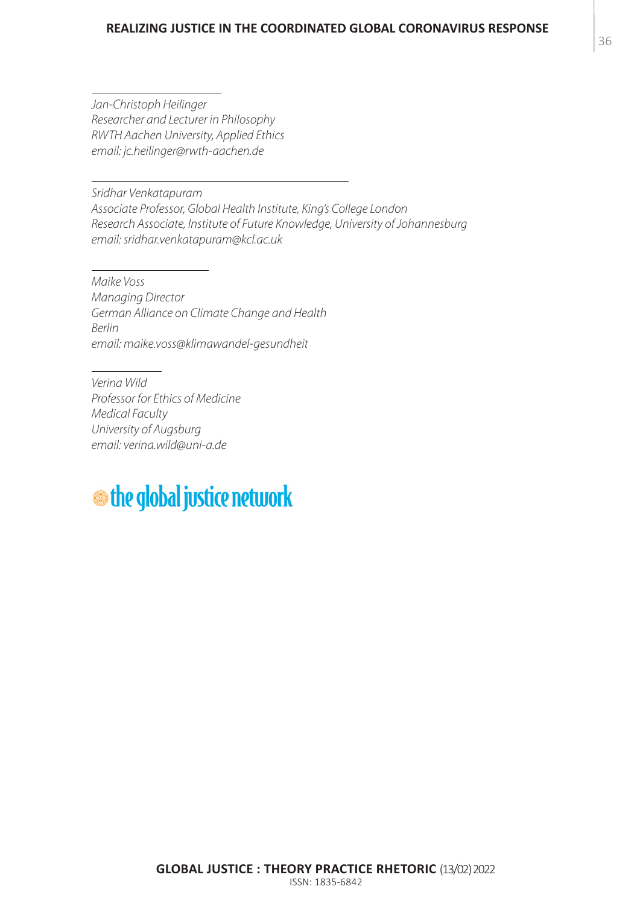#### **REALIZING JUSTICE IN THE COORDINATED GLOBAL CORONAVIRUS RESPONSE**

*Jan-Christoph Heilinger Researcher and Lecturer in Philosophy RWTH Aachen University, Applied Ethics email: jc.heilinger@rwth-aachen.de* 

*Sridhar Venkatapuram Associate Professor, Global Health Institute, King's College London Research Associate, Institute of Future Knowledge, University of Johannesburg email: sridhar.venkatapuram@kcl.ac.uk* 

*Maike Voss Managing Director German Alliance on Climate Change and Health Berlin email: maike.voss@klimawandel-gesundheit*

*Verina Wild Professor for Ethics of Medicine Medical Faculty University of Augsburg email: verina.wild@uni-a.de* 

# **the global justice network**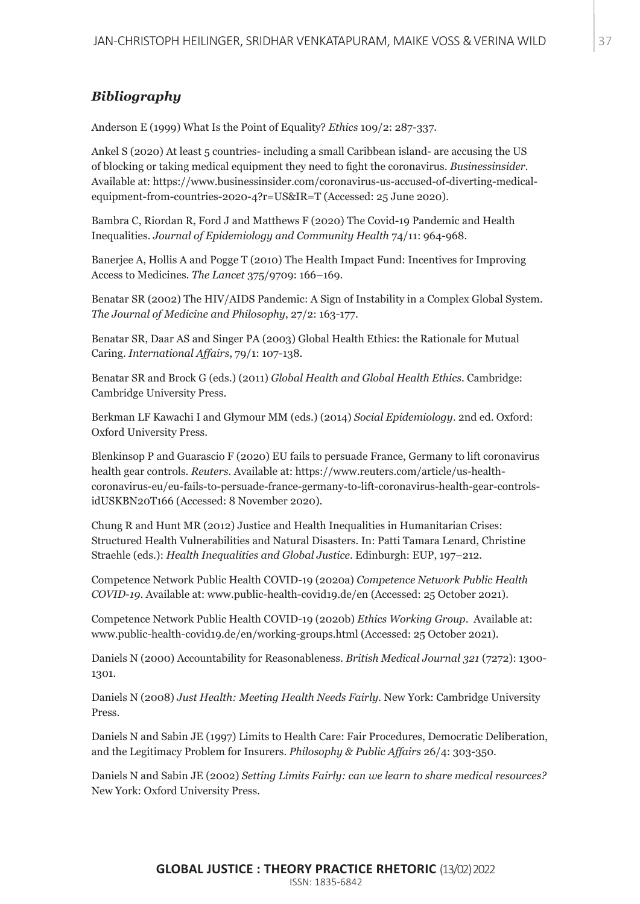# *Bibliography*

Anderson E (1999) What Is the Point of Equality? *Ethics* 109/2: 287-337.

Ankel S (2020) At least 5 countries- including a small Caribbean island- are accusing the US of blocking or taking medical equipment they need to fight the coronavirus. *Businessinsider.* Available at: https://www.businessinsider.com/coronavirus-us-accused-of-diverting-medicalequipment-from-countries-2020-4?r=US&IR=T (Accessed: 25 June 2020).

Bambra C, Riordan R, Ford J and Matthews F (2020) The Covid-19 Pandemic and Health Inequalities. *Journal of Epidemiology and Community Health* 74/11: 964-968.

Banerjee A, Hollis A and Pogge T (2010) The Health Impact Fund: Incentives for Improving Access to Medicines. *The Lancet* 375/9709: 166–169.

Benatar SR (2002) The HIV/AIDS Pandemic: A Sign of Instability in a Complex Global System. *The Journal of Medicine and Philosophy*, 27/2: 163-177.

Benatar SR, Daar AS and Singer PA (2003) Global Health Ethics: the Rationale for Mutual Caring. *International Affairs*, 79/1: 107-138.

Benatar SR and Brock G (eds.) (2011) *Global Health and Global Health Ethics*. Cambridge: Cambridge University Press.

Berkman LF Kawachi I and Glymour MM (eds.) (2014) *Social Epidemiology*. 2nd ed. Oxford: Oxford University Press.

Blenkinsop P and Guarascio F (2020) EU fails to persuade France, Germany to lift coronavirus health gear controls. *Reuters*. Available at: https://www.reuters.com/article/us-healthcoronavirus-eu/eu-fails-to-persuade-france-germany-to-lift-coronavirus-health-gear-controlsidUSKBN20T166 (Accessed: 8 November 2020).

Chung R and Hunt MR (2012) Justice and Health Inequalities in Humanitarian Crises: Structured Health Vulnerabilities and Natural Disasters. In: Patti Tamara Lenard, Christine Straehle (eds.): *Health Inequalities and Global Justice*. Edinburgh: EUP, 197–212.

Competence Network Public Health COVID-19 (2020a) *Competence Network Public Health COVID-19*. Available at: www.public-health-covid19.de/en (Accessed: 25 October 2021).

Competence Network Public Health COVID-19 (2020b) *Ethics Working Group*. Available at: www.public-health-covid19.de/en/working-groups.html (Accessed: 25 October 2021).

Daniels N (2000) Accountability for Reasonableness. *British Medical Journal 321* (7272): 1300- 1301.

Daniels N (2008) *Just Health: Meeting Health Needs Fairly*. New York: Cambridge University Press.

Daniels N and Sabin JE (1997) Limits to Health Care: Fair Procedures, Democratic Deliberation, and the Legitimacy Problem for Insurers. *Philosophy & Public Affairs* 26/4: 303-350.

Daniels N and Sabin JE (2002) *Setting Limits Fairly: can we learn to share medical resources?* New York: Oxford University Press.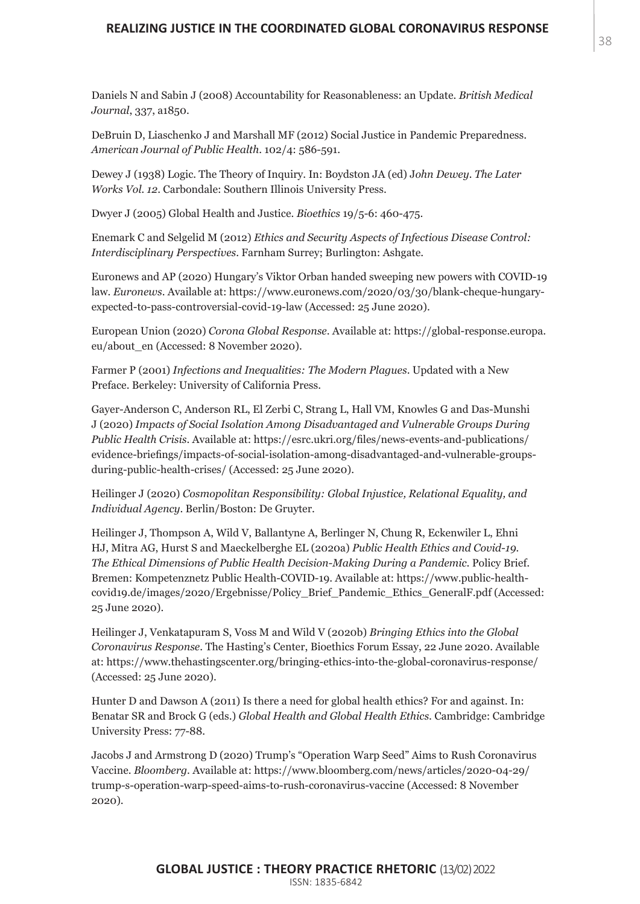Daniels N and Sabin J (2008) Accountability for Reasonableness: an Update. *British Medical Journal*, 337, a1850.

DeBruin D, Liaschenko J and Marshall MF (2012) Social Justice in Pandemic Preparedness. *American Journal of Public Health*. 102/4: 586-591.

Dewey J (1938) Logic. The Theory of Inquiry. In: Boydston JA (ed) J*ohn Dewey. The Later Works Vol. 12*. Carbondale: Southern Illinois University Press.

Dwyer J (2005) Global Health and Justice. *Bioethics* 19/5-6: 460-475.

Enemark C and Selgelid M (2012) *Ethics and Security Aspects of Infectious Disease Control: Interdisciplinary Perspectives*. Farnham Surrey; Burlington: Ashgate.

Euronews and AP (2020) Hungary's Viktor Orban handed sweeping new powers with COVID-19 law. *Euronews*. Available at: https://www.euronews.com/2020/03/30/blank-cheque-hungaryexpected-to-pass-controversial-covid-19-law (Accessed: 25 June 2020).

European Union (2020) *Corona Global Response*. Available at: https://global-response.europa. eu/about\_en (Accessed: 8 November 2020).

Farmer P (2001) *Infections and Inequalities: The Modern Plagues*. Updated with a New Preface. Berkeley: University of California Press.

Gayer-Anderson C, Anderson RL, El Zerbi C, Strang L, Hall VM, Knowles G and Das-Munshi J (2020) *Impacts of Social Isolation Among Disadvantaged and Vulnerable Groups During Public Health Crisis*. Available at: https://esrc.ukri.org/files/news-events-and-publications/ evidence-briefings/impacts-of-social-isolation-among-disadvantaged-and-vulnerable-groupsduring-public-health-crises/ (Accessed: 25 June 2020).

Heilinger J (2020) *Cosmopolitan Responsibility: Global Injustice, Relational Equality, and Individual Agency*. Berlin/Boston: De Gruyter.

Heilinger J, Thompson A, Wild V, Ballantyne A, Berlinger N, Chung R, Eckenwiler L, Ehni HJ, Mitra AG, Hurst S and Maeckelberghe EL (2020a) *Public Health Ethics and Covid-19. The Ethical Dimensions of Public Health Decision-Making During a Pandemic*. Policy Brief. Bremen: Kompetenznetz Public Health-COVID-19. Available at: https://www.public-healthcovid19.de/images/2020/Ergebnisse/Policy\_Brief\_Pandemic\_Ethics\_GeneralF.pdf (Accessed: 25 June 2020).

Heilinger J, Venkatapuram S, Voss M and Wild V (2020b) *Bringing Ethics into the Global Coronavirus Response*. The Hasting's Center, Bioethics Forum Essay, 22 June 2020. Available at: https://www.thehastingscenter.org/bringing-ethics-into-the-global-coronavirus-response/ (Accessed: 25 June 2020).

Hunter D and Dawson A (2011) Is there a need for global health ethics? For and against. In: Benatar SR and Brock G (eds.) *Global Health and Global Health Ethics*. Cambridge: Cambridge University Press: 77-88.

Jacobs J and Armstrong D (2020) Trump's "Operation Warp Seed" Aims to Rush Coronavirus Vaccine. *Bloomberg*. Available at: https://www.bloomberg.com/news/articles/2020-04-29/ trump-s-operation-warp-speed-aims-to-rush-coronavirus-vaccine (Accessed: 8 November 2020).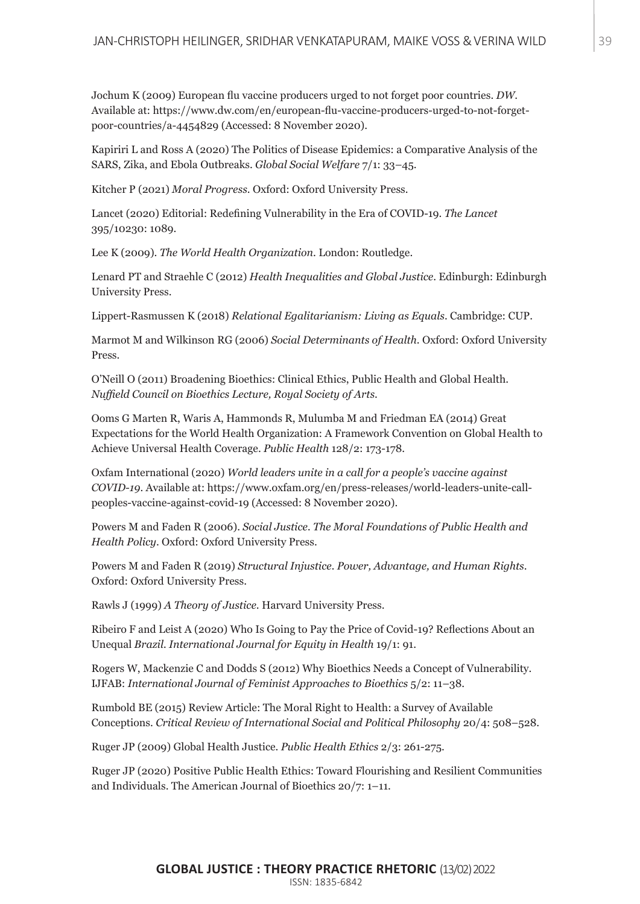Jochum K (2009) European flu vaccine producers urged to not forget poor countries. *DW*. Available at: https://www.dw.com/en/european-flu-vaccine-producers-urged-to-not-forgetpoor-countries/a-4454829 (Accessed: 8 November 2020).

Kapiriri L and Ross A (2020) The Politics of Disease Epidemics: a Comparative Analysis of the SARS, Zika, and Ebola Outbreaks. *Global Social Welfare* 7/1: 33–45.

Kitcher P (2021) *Moral Progress*. Oxford: Oxford University Press.

Lancet (2020) Editorial: Redefining Vulnerability in the Era of COVID-19. *The Lancet*  395/10230: 1089.

Lee K (2009). *The World Health Organization*. London: Routledge.

Lenard PT and Straehle C (2012) *Health Inequalities and Global Justice*. Edinburgh: Edinburgh University Press.

Lippert-Rasmussen K (2018) *Relational Egalitarianism: Living as Equals*. Cambridge: CUP.

Marmot M and Wilkinson RG (2006) *Social Determinants of Health*. Oxford: Oxford University Press.

O'Neill O (2011) Broadening Bioethics: Clinical Ethics, Public Health and Global Health. *Nuffield Council on Bioethics Lecture, Royal Society of Arts*.

Ooms G Marten R, Waris A, Hammonds R, Mulumba M and Friedman EA (2014) Great Expectations for the World Health Organization: A Framework Convention on Global Health to Achieve Universal Health Coverage. *Public Health* 128/2: 173-178.

Oxfam International (2020) *World leaders unite in a call for a people's vaccine against COVID-19*. Available at: https://www.oxfam.org/en/press-releases/world-leaders-unite-callpeoples-vaccine-against-covid-19 (Accessed: 8 November 2020).

Powers M and Faden R (2006). *Social Justice. The Moral Foundations of Public Health and Health Policy*. Oxford: Oxford University Press.

Powers M and Faden R (2019) *Structural Injustice. Power, Advantage, and Human Rights*. Oxford: Oxford University Press.

Rawls J (1999) *A Theory of Justice*. Harvard University Press.

Ribeiro F and Leist A (2020) Who Is Going to Pay the Price of Covid-19? Reflections About an Unequal *Brazil. International Journal for Equity in Health* 19/1: 91.

Rogers W, Mackenzie C and Dodds S (2012) Why Bioethics Needs a Concept of Vulnerability. IJFAB: *International Journal of Feminist Approaches to Bioethics* 5/2: 11–38.

Rumbold BE (2015) Review Article: The Moral Right to Health: a Survey of Available Conceptions. *Critical Review of International Social and Political Philosophy* 20/4: 508–528.

Ruger JP (2009) Global Health Justice. *Public Health Ethics* 2/3: 261-275.

Ruger JP (2020) Positive Public Health Ethics: Toward Flourishing and Resilient Communities and Individuals. The American Journal of Bioethics 20/7: 1–11.